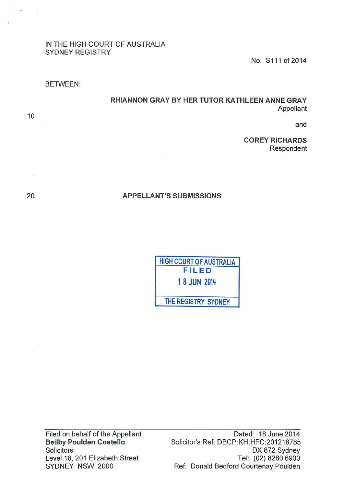# IN THE HIGH COURT OF AUSTRALIA SYDNEY REGISTRY

No. S111 of 2014

BETWEEN:

# RHIANNON GRAY BY HER TUTOR KATHLEEN ANNE GRAY Appellant

and

COREY RICHARDS Respondent

# APPELLANT'S SUBMISSIONS

HIGH COURT OF AUSTRALIA FILED 1 8 JUN <sup>2014</sup> THE REGISTRY SYDNEY

Filed on behalf of the Appellant Beilby Poulden Costello **Solicitors** Level 18, 201 Elizabeth Street SYDNEY NSW 2000

Dated: 18 June 2014 Solicitor's Ref: DBCP:KH:HFC:201218785 DX 872 Sydney Tel: (02) 8280 6900 Ref: Donald Bedford Courtenay Paulden

20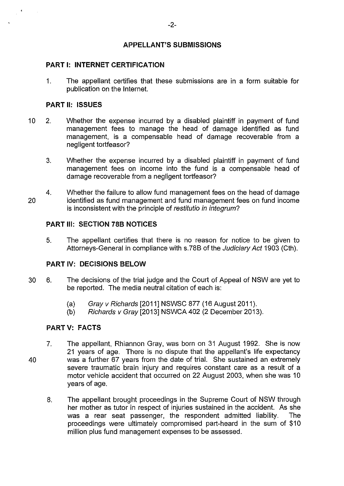# **APPELLANT'S SUBMISSIONS**

#### **PART 1: INTERNET CERTIFICATION**

1. The appellant certifies that these submissions are in a form suitable for publication on the Internet.

#### **PART II: ISSUES**

- 10 2. Whether the expense incurred by a disabled plaintiff in payment of fund management fees to manage the head of damage identified as fund management, is a compensable head of damage recoverable from a negligent tortfeasor?
	- 3. Whether the expense incurred by a disabled plaintiff in payment of fund management fees on income into the fund is a compensable head of damage recoverable from a negligent tortfeasor?
- 20 4. Whether the failure to allow fund management fees on the head of damage identified as fund management and fund management fees on fund income is inconsistent with the principle of *restitutio in integrum*?

#### **PART Ill: SECTION 78B NOTICES**

5. The appellant certifies that there is no reason for notice to be given to Attorneys-General in compliance with s.78B of the Judiciary Act 1903 (Cth).

# **PART** IV: **DECISIONS BELOW**

- 30 6. The decisions of the trial judge and the Court of Appeal of NSW are yet to be reported. The media neutral citation of each is:
	- (a) Gray v Richards [2011] NSWSC 877 (16 August 2011).
	- (b) Richards v Gray [2013] NSWCA 402 (2 December 2013).

#### **PART V: FACTS**

- 40 7. The appellant, Rhiannon Gray, was born on 31 August 1992. She is now 21 years of age. There is no dispute that the appellant's life expectancy was a further 67 years from the date of trial. She sustained an extremely severe traumatic brain injury and requires constant care as a result of a motor vehicle accident that occurred on 22 August 2003, when she was 10 years of age.
	- 8. The appellant brought proceedings in the Supreme Court of NSW through her mother as tutor in respect of injuries sustained in the accident. As she was a rear seat passenger, the respondent admitted liability. The proceedings were ultimately compromised part-heard in the sum of \$10 million plus fund management expenses to be assessed.

 $\blacktriangleleft$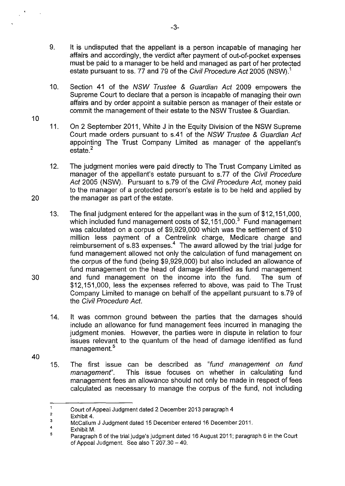- 9. It is undisputed that the appellant is a person incapable of managing her affairs and accordingly, the verdict after payment of out-of-pocket expenses must be paid to a manager to be held and managed as part of her protected estate pursuant to ss. 77 and 79 of the Civil Procedure Act 2005 (NSW).<sup>1</sup>
- 10. Section 41 of the NSW Trustee & Guardian Act 2009 empowers the Supreme Court to declare that a person is incapable of managing their own affairs and by order appoint a suitable person as manager of their estate or commit the management of their estate to the NSW Trustee & Guardian.
- 11. On 2 September 2011, White J in the Equity Division of the NSW Supreme Court made orders pursuant to s.41 of the NSW Trustee & Guardian Act appointing The Trust Company Limited as manager of the appellant's estate.<sup>2</sup>
- 12. The judgment monies were paid directly to The Trust Company Limited as manager of the appellant's estate pursuant to s.77 of the Civil Procedure Act 2005 (NSW). Pursuant to s.79 of the Civil Procedure Act, money paid to the manager of a protected person's estate is to be held and applied by 20 the manager as part of the estate.
- 13. The final judgment entered for the appellant was in the sum of \$12,151,000, which included fund management costs of  $$2,151,000<sup>3</sup>$  Fund management was calculated on a corpus of \$9,929,000 which was the settlement of \$10 million less payment of a Centrelink charge, Medicare charge and reimbursement of  $s.83$  expenses.<sup>4</sup> The award allowed by the trial judge for fund management allowed not only the calculation of fund management on the corpus of the fund (being \$9,929,000) but also included an allowance of fund management on the head of damage identified as fund management 30 and fund management on the income into the fund. The sum of \$12,151,000, less the expenses referred to above, was paid to The Trust Company Limited to manage on behalf of the appellant pursuant to s.79 of the Civil Procedure Act.
	- 14. It was common ground between the parties that the damages should include an allowance for fund management fees incurred in managing the judgment monies. However, the parties were in dispute in relation to four issues relevant to the quantum of the head of damage identified as fund management.<sup>5</sup>
- 40

10

 $\rightarrow$ 

15. The first issue can be described as "fund management on fund management". This issue focuses on whether in calculating fund management fees an allowance should not only be made in respect of fees calculated as necessary to manage the corpus of the fund, not including

 $\overline{1}$ Court of Appeal Judgment dated 2 December 2013 paragraph 4

<sup>2</sup>  Exhibit 4.

<sup>3</sup>  McCallum J Judgment dated 15 December entered 16 December 2011.

<sup>4</sup>  Exhibit M.

<sup>5</sup>  Paragraph 6 of the trial judge's judgment dated 16 August 2011; paragraph 6 in the Court of Appeal Judgment. See also T 207.30- 40.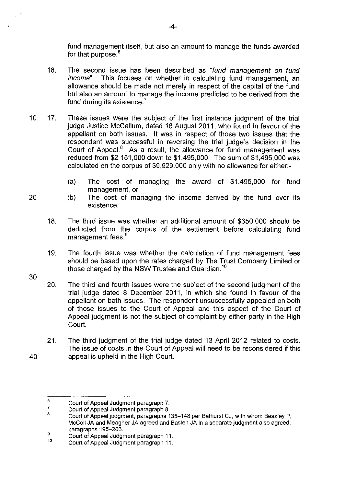fund management itself, but also an amount to manage the funds awarded for that purpose.<sup>6</sup>

- 16. The second issue has been described as "fund management on fund income". This focuses on whether in calculating fund management, an allowance should be made not merely in respect of the capital of the fund but also an amount to manage the income predicted to be derived from the fund during its existence.<sup>7</sup>
- 10 17. These issues were the subject of the first instance judgment of the trial judge Justice McCallum, dated 16 August 2011, who found in favour of the appellant on both issues. It was in respect of those two issues that the respondent was successful in reversing the trial judge's decision in the Court of Appeal. $8$  As a result, the allowance for fund management was reduced from \$2,151,000 down to \$1,495,000. The sum of \$1,495,000 was calculated on the corpus of \$9,929,000 only with no allowance for either:-
	- (a) The cost of managing the award of \$1,495,000 for fund management, or
	- (b) The cost of managing the income derived by the fund over its existence.
	- 18. The third issue was whether an additional amount of \$650,000 should be deducted from the corpus of the settlement before calculating fund management fees.<sup>9</sup>
	- 19. The fourth issue was whether the calculation of fund management fees should be based upon the rates charged by The Trust Company Limited or those charged by the NSW Trustee and Guardian.<sup>10</sup>
- 30

- 20. The third and fourth issues were the subject of the second judgment of the trial judge dated 8 December 2011, in which she found in favour of the appellant on both issues. The respondent unsuccessfully appealed on both of those issues to the Court of Appeal and this aspect of the Court of Appeal judgment is not the subject of complaint by either party in the High Court.
- 21. The third judgment of the trial judge dated 13 April 2012 related to costs. The issue of costs in the Court of Appeal will need to be reconsidered if this 40 appeal is upheld in the High Court.

<sup>6</sup>  Court of Appeal Judgment paragraph 7.

<sup>7</sup>  Court of Appeal Judgment paragraph 8.

<sup>8</sup>  Court of Appeal judgment, paragraphs 135-148 per Bathurst CJ, with whom Beazley P, McColl JA and Meagher JA agreed and Basten JAin a separate judgment also agreed, paragraphs 195-206.

<sup>9</sup>  10 Court of Appeal Judgment paragraph 11.

Court of Appeal Judgment paragraph 11.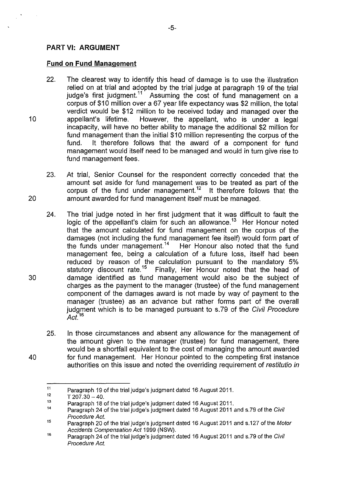#### **PART** VI: **ARGUMENT**

#### **Fund on Fund Management**

- 22. The clearest way to identify this head of damage is to use the illustration relied on at trial and adopted by the trial judge at paragraph 19 of the trial judge's first judgment.<sup>11</sup> Assuming the cost of fund management on a corpus of \$10 million over a 67 year life expectancy was \$2 million, the total verdict would be \$12 million to be received today and managed over the 10 appellant's lifetime. However, the appellant, who is under a legal incapacity, will have no better ability to manage the additional \$2 million for fund management than the initial \$10 million representing the corpus of the fund. It therefore follows that the award of a component for fund management would itself need to be managed and would in turn give rise to fund management fees.
- 23. At trial, Senior Counsel for the respondent correctly conceded that the amount set aside for fund management was to be treated as part of the corpus of the fund under management.<sup>12</sup> It therefore follows that the 20 amount awarded for fund management itself must be managed.
- 24. The trial judge noted in her first judgment that it was difficult to fault the logic of the appellant's claim for such an allowance.<sup>13</sup> Her Honour noted that the amount calculated for fund management on the corpus of the damages (not including the fund management fee itself) would form part of the funds under management.<sup>14</sup> Her Honour also noted that the fund management fee, being a calculation of a future loss, itself had been reduced by reason of the calculation pursuant to the mandatory 5% statutory discount rate.<sup>15</sup> Finally, Her Honour noted that the head of 30 damage identified as fund management would also be the subject of charges as the payment to the manager (trustee) of the fund management component of the damages award is not made by way of payment to the manager (trustee) as an advance but rather forms part of the overall judgment which is to be managed pursuant to s.79 of the Civil Procedure  $Act^{16}$
- 25. In those circumstances and absent any allowance for the management of the amount given to the manager (trustee) for fund management, there would be a shortfall equivalent to the cost of managing the amount awarded 40 for fund management. Her Honour pointed to the competing first instance authorities on this issue and noted the overriding requirement of restitutio in

<sup>11</sup>  Paragraph 19 of the trial judge's judgment dated 16 August 2011.

<sup>12</sup>   $T 207.30 - 40.$ 

<sup>13</sup>  Paragraph 18 of the trial judge's judgment dated 16 August 2011.

<sup>14</sup>  Paragraph 24 of the trial judge's judgment dated 16 August 2011 and s.79 of the Civil Procedure Act.

<sup>15</sup>  Paragraph 20 of the trial judge's judgment dated 16 August 2011 and s.127 of the Motor Accidents Compensation Act 1999 (NSW).

<sup>16</sup>  Paragraph 24 of the trial judge's judgment dated 16 August 2011 and s.79 of the Civil Procedure Act.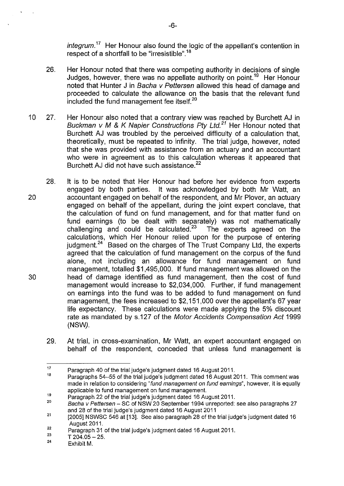$inter{inter}$  Her Honour also found the logic of the appellant's contention in respect of a shortfall to be "irresistible".<sup>18</sup>

- 26. Her Honour noted that there was competing authority in decisions of single Judges, however, there was no appellate authority on point.19 Her Honour noted that Hunter J in Bacha v Pettersen allowed this head of damage and proceeded to calculate the allowance on the basis that the relevant fund included the fund management fee itself.<sup>20</sup>
- 10 27. Her Honour also noted that a contrary view was reached by Burchett AJ in Buckman v M & K Napier Constructions Pty Ltd.<sup>21</sup> Her Honour noted that Burchett AJ was troubled by the perceived difficulty of a calculation that, theoretically, must be repeated to infinity. The trial judge, however, noted that she was provided with assistance from an actuary and an accountant who were in agreement as to this calculation whereas it appeared that Burchett AJ did not have such assistance. <sup>22</sup>
- 28. It is to be noted that Her Honour had before her evidence from experts engaged by both parties. It was acknowledged by both Mr Watt, an 20 accountant engaged on behalf of the respondent, and Mr Plover, an actuary engaged on behalf of the appellant, during the joint expert conclave, that the calculation of fund on fund management, and for that matter fund on fund earnings (to be dealt with separately) was not mathematically challenging and could be calculated.<sup>23</sup> The experts agreed on the calculations, which Her Honour relied upon for the purpose of entering judgment.<sup>24</sup> Based on the charges of The Trust Company Ltd, the experts agreed that the calculation of fund management on the corpus of the fund alone, not including an allowance for fund management on fund management, totalled \$1,495,000. If fund management was allowed on the 30 head of damage identified as fund management, then the cost of fund management would increase to \$2,034,000. Further, if fund management on earnings into the fund was to be added to fund management on fund management, the fees increased to \$2,151 ,000 over the appellant's 67 year life expectancy. These calculations were made applying the 5% discount rate as mandated by s.127 of the Motor Accidents Compensation Act 1999 (NSW).
	- 29. At trial, in cross-examination, Mr Watt, an expert accountant engaged on behalf of the respondent, conceded that unless fund management is

<sup>17</sup>  Paragraph 40 of the trial judge's judgment dated 16 August 2011.

<sup>18</sup>  Paragraphs 54-55 of the trial judge's judgment dated 16 August 2011. This comment was made in relation to considering "fund management on fund earnings", however, it is equally applicable to fund management on fund management.

<sup>19</sup>  Paragraph 22 of the trial judge's judgment dated 16 August 2011.

<sup>20</sup>  Bacha v Pettersen- SC of NSW 20 September 1994 unreported: see also paragraphs 27 and 28 of the trial judge's judgment dated 16 August 2011

<sup>21</sup>  [2005] NSWSC 546 at [13]. See also paragraph 28 of the trial judge's judgment dated 16 August 2011.

<sup>22</sup>  Paragraph 31 of the trial judge's judgment dated 16 August 2011.

<sup>23</sup>   $T 204.05 - 25.$ 

<sup>24</sup>  Exhibit M.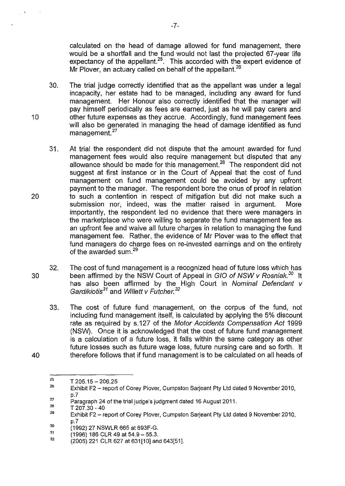calculated on the head of damage allowed for fund management, there would be a shortfall and the fund would not last the projected 67-year life expectancy of the appellant.  $25$ . This accorded with the expert evidence of Mr Plover, an actuary called on behalf of the appellant.<sup>26</sup>

- 30. The trial judge correctly identified that as the appellant was under a legal incapacity, her estate had to be managed, including any award for fund management. Her Honour also correctly identified that the manager will pay himself periodically as fees are earned, just as he will pay carers and 10 other future expenses as they accrue. Accordingly, fund management fees will also be generated in managing the head of damage identified as fund management.<sup>27</sup>
- 31. At trial the respondent did not dispute that the amount awarded for fund management fees would also require management but disputed that any allowance should be made for this management.<sup>28</sup> The respondent did not suggest at first instance or in the Court of Appeal that the cost of fund management on fund management could be avoided by any upfront payment to the manager. The respondent bore the onus of proof in relation 20 to such a contention in respect of mitigation but did not make such a submission nor, indeed, was the matter raised in argument. More importantly, the respondent led no evidence that there were managers in the marketplace who were willing to separate the fund management fee as an upfront fee and waive all future charges in relation to managing the fund management fee. Rather, the evidence of Mr Plover was to the effect that fund managers do charge fees on re-invested earnings and on the entirety of the awarded sum.<sup>29</sup>
- 32. The cost of fund management is a recognized head of future loss which has 30 been affirmed by the NSW Court of Appeal in GIO of NSW v Rosniak.<sup>30</sup> It has also been affirmed by the High Court in Nominal Defendant v Gardikiotis*31* and Willett v Futcher. *<sup>32</sup>*
- 33. The cost of future fund management, on the corpus of the fund, not including fund management itself, is calculated by applying the 5% discount rate as required by s.127 of the Motor Accidents Compensation Act 1999 (NSW). Once it is acknowledged that the cost of future fund management is a calculation of a future loss, it falls within the same category as other future losses such as future wage loss, future nursing care and so forth. It 40 therefore follows that if fund management is to be calculated on all heads of

28 T 207.30-40

<sup>25</sup>   $T$  205.15  $-$  206.25

<sup>26</sup>  Exhibit F2- report of Corey Plover, Cumpston Sarjeant Pty Ltd dated 9 November 2010, p.7

<sup>27</sup>  Paragraph 24 of the trial judge's judgment dated 16 August 2011.

<sup>29</sup>  Exhibit F2- report of Corey Plover, Cumpston Sarjeant Pty Ltd dated 9 November 2010, p.7

<sup>30</sup>  (1992) 27 NSWLR 665 at 693F-G.

<sup>31</sup>  (1996) 186 CLR 49 at 54.9- 55.3.

<sup>32</sup>  (2005) 221 CLR 627 at 631[10] and 643[51].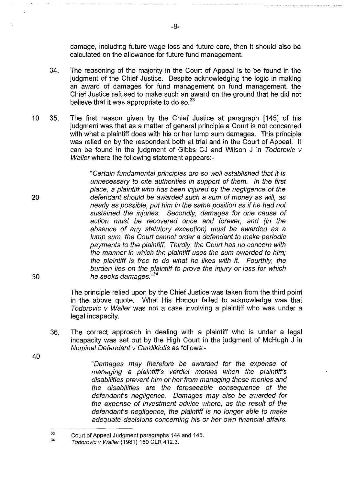damage, including future wage loss and future care, then it should also be calculated on the allowance for future fund management.

- 34. The reasoning of the majority in the Court of Appeal is to be found in the judgment of the Chief Justice. Despite acknowledging the logic in making an award of damages for fund management on fund management, the Chief Justice refused to make such an award on the ground that he did not believe that it was appropriate to do so.<sup>33</sup>
- 10 35. The first reason given by the Chief Justice at paragraph [145] of his judgment was that as a matter of general principle a Court is not concerned with what a plaintiff does with his or her lump sum damages. This principle was relied on by the respondent both at trial and in the Court of Appeal. It can be found in the judgment of Gibbs CJ and Wilson J in Todorovic v Waller where the following statement appears:-

"Cerlain fundamental principles are so well established that it is unnecessary to cite authorities in support of them. In the first place, a plaintiff who has been injured by the negligence of the defendant should be awarded such a sum of money as will, as nearly as possible, put him in the same position as if he had not sustained the injuries. Secondly, damages for one cause of action must be recovered once and forever, and (in the absence of any statutory exception) must be awarded as a lump sum; the Court cannot order a defendant to make periodic payments to the plaintiff. Thirdly, the Court has no concern with the manner in which the plaintiff uses the sum awarded to him; the plaintiff is free to do what he likes with it. Fourthly, the burden lies on the plaintiff to prove the injury or loss for which he seeks damages. " *34* 

The principle relied upon by the Chief Justice was taken from the third point in the above quote. What His Honour failed to acknowledge was that Todorovic v Waller was not a case involving a plaintiff who was under a legal incapacity.

36. The correct approach in dealing with a plaintiff who is under a legal incapacity was set out by the High Court in the judgment of McHugh J in Nominal Defendant v Gardikiotis as follows:-

40

20

30

"Damages may therefore be awarded for the expense of managing a plaintiff's verdict monies when the plaintiff's disabilities prevent him or her from managing those monies and the disabilities are the foreseeable consequence of the defendant's negligence. Damages may also be awarded for the expense of investment advice where, as the result of the defendant's negligence, the plaintiff is no longer able to make adequate decisions concerning his or her own financial affairs.

<sup>33</sup>  Court of Appeal Judgment paragraphs 144 and 145.

<sup>34</sup>  Todorovic v Waller (1981) 150 CLR 412.3.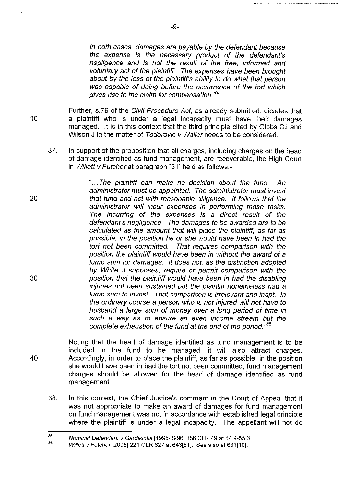In both cases, damages are payable by the defendant because the expense is the necessary product of the defendant's negligence and is not the result of the free, informed and voluntary act of the plaintiff. The expenses have been brought about by the loss of the plaintiffs ability to do what that person was capable of doing before the occurrence of the tort which gives rise to the claim for compensation. " *35* 

Further, s.79 of the Civil Procedure Act, as already submitted, dictates that a plaintiff who is under a legal incapacity must have their damages managed. It is in this context that the third principle cited by Gibbs CJ and Wilson J in the matter of Todorovic v Waller needs to be considered.

10

20

30

40

37. In support of the proposition that all charges, including charges on the head of damage identified as fund management, are recoverable, the High Court in Willett v Futcher at paragraph  $[51]$  held as follows:-

> "... The plaintiff can make no decision about the fund. An administrator must be appointed. The administrator must invest that fund and act with reasonable diligence. It follows that the administrator will incur expenses in performing those tasks. The incurring of the expenses is a direct result of the defendant's negligence. The damages to be awarded are to be calculated as the amount that will place the plaintiff, as far as possible, in the position he or she would have been in had the tort not been committed. That requires comparison with the position the plaintiff would have been in without the award of a lump sum for damages. It does not, as the distinction adopted by White J supposes, require or permit comparison with the position that the plaintiff would have been in had the disabling injuries not been sustained but the plaintiff nonetheless had a lump sum to invest. That comparison is irrelevant and inapt. In the ordinary course a person who is not injured will not have to husband a large sum of money over a long period of time in such a way as to ensure an even income stream but the complete exhaustion of the fund at the end of the period."<sup>36</sup>

Noting that the head of damage identified as fund management is to be included in the fund to be managed, it will also attract charges. Accordingly, in order to place the plaintiff, as far as possible, in the position she would have been in had the tort not been committed, fund management charges should be allowed for the head of damage identified as fund management.

38. In this context, the Chief Justice's comment in the Court of Appeal that it was not appropriate to make an award of damages for fund management on fund management was not in accordance with established legal principle where the plaintiff is under a legal incapacity. The appellant will not do

<sup>35</sup>  Nominal Defendant v Gardikiotis [1995-1996] 186 CLR 49 at 54.9-55.3.

<sup>36</sup>  Willett v Futcher [2005] 221 CLR 627 at 643[51]. See also at 631[10].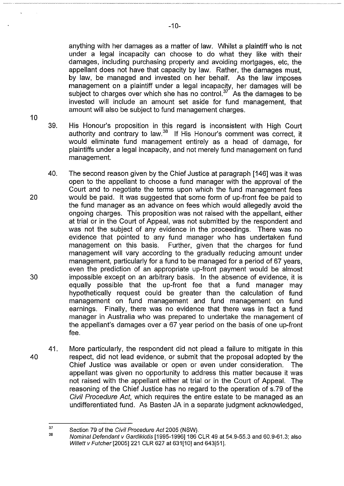anything with her damages as a matter of law. Whilst a plaintiff who is not under a legal incapacity can choose to do what they like with their damages, including purchasing property and avoiding mortgages, etc, the appellant does not have that capacity by law. Rather, the damages must, by law, be managed and invested on her behalf. As the law imposes management on a plaintiff under a legal incapacity, her damages will be subject to charges over which she has no control.<sup>37</sup> As the damages to be invested will include an amount set aside for fund management, that amount will also be subject to fund management charges.

39. His Honour's proposition in this regard is inconsistent with High Court authority and contrary to law.<sup>38</sup> If His Honour's comment was correct, it would eliminate fund management entirely as a head of damage, for plaintiffs under a legal incapacity, and not merely fund management on fund management.

- 40. The second reason given by the Chief Justice at paragraph [146] was it was open to the appellant to choose a fund manager with the approval of the Court and to negotiate the terms upon which the fund management fees 20 would be paid. It was suggested that some form of up-front fee be paid to the fund manager as an advance on fees which would allegedly avoid the ongoing charges. This proposition was not raised with the appellant, either at trial or in the Court of Appeal, was not submitted by the respondent and was not the subject of any evidence in the proceedings. There was no evidence that pointed to any fund manager who has undertaken fund management on this basis. Further, given that the charges for fund management will vary according to the gradually reducing amount under management, particularly for a fund to be managed for a period of 67 years, even the prediction of an appropriate up-front payment would be almost 30 impossible except on an arbitrary basis. In the absence of evidence, it is equally possible that the up-front fee that a fund manager may hypothetically request could be greater than the calculation of fund management on fund management and fund management on fund earnings. Finally, there was no evidence that there was in fact a fund manager in Australia who was prepared to undertake the management of the appellant's damages over a 67 year period on the basis of one up-front fee.
- 41. More particularly, the respondent did not plead a failure to mitigate in this 40 respect, did not lead evidence, or submit that the proposal adopted by the Chief Justice was available or open or even under consideration. The appellant was given no opportunity to address this matter because it was not raised with the appellant either at trial or in the Court of Appeal. The reasoning of the Chief Justice has no regard to the operation of s.79 of the Civil Procedure Act, which requires the entire estate to be managed as an undifferentiated fund. As Basten JA in a separate judgment acknowledged,

<sup>37</sup>  38 Section 79 of the Civil Procedure Act 2005 (NSW).

Nominal Defendant v Gardikiotis [1995-1996]186 CLR 49 at 54.9-55.3 and 60.9-61.3; also Willett v Futcher[2005]221 CLR 627 at 631[10] and 643[51].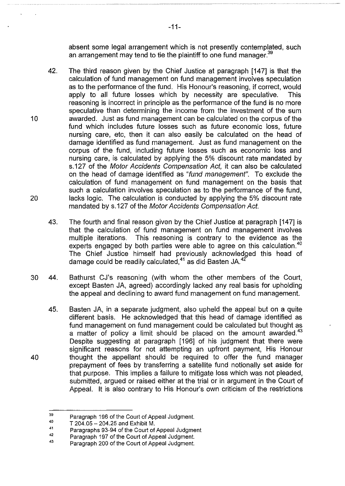absent some legal arrangement which is not presently contemplated, such an arrangement may tend to tie the plaintiff to one fund manager.<sup>39</sup>

- 42. The third reason given by the Chief Justice at paragraph [147] is that the calculation of fund management on fund management involves speculation as to the performance of the fund. His Honour's reasoning, if correct, would apply to all future losses which by necessity are speculative. This reasoning is incorrect in principle as the performance of the fund is no more speculative than determining the income from the investment of the sum 10 awarded. Just as fund management can be calculated on the corpus of the fund which includes future losses such as future economic loss, future nursing care, etc, then it can also easily be calculated on the head of damage identified as fund management. Just as fund management on the corpus of the fund, including future losses such as economic loss and nursing care, is calculated by applying the 5% discount rate mandated by s.127 of the Motor Accidents Compensation Act, it can also be calculated on the head of damage identified as "fund management". To exclude the calculation of fund management on fund management on the basis that such a calculation involves speculation as to the performance of the fund, 20 lacks logic. The calculation is conducted by applying the 5% discount rate mandated by s.127 of the Motor Accidents Compensation Act.
	- 43. The fourth and final reason given by the Chief Justice at paragraph [147] is that the calculation of fund management on fund management involves multiple iterations. This reasoning is contrary to the evidence as the experts engaged by both parties were able to agree on this calculation.<sup>40</sup> The Chief Justice himself had previously acknowledged this head of damage could be readily calculated,<sup>41</sup> as did Basten JA.<sup>42</sup>
- 30 44. Bathurst CJ's reasoning (with whom the other members of the Court, except Basten JA, agreed) accordingly lacked any real basis for upholding the appeal and declining to award fund management on fund management.
- 45. Basten JA, in a separate judgment, also upheld the appeal but on a quite different basis. He acknowledged that this head of damage identified as fund management on fund management could be calculated but thought as a matter of policy a limit should be placed on the amount awarded. $43$ Despite suggesting at paragraph [196] of his judgment that there were significant reasons for not attempting an upfront payment, His Honour 40 thought the appellant should be required to offer the fund manager prepayment of fees by transferring a satellite fund notionally set aside for that purpose. This implies a failure to mitigate loss which was not pleaded, submitted, argued or raised either at the trial or in argument in the Court of Appeal. It is also contrary to His Honour's own criticism of the restrictions

<sup>39</sup>  Paragraph 196 of the Court of Appeal Judgment.

<sup>40</sup>  T 204.05-204.25 and Exhibit M.

<sup>41</sup>  Paragraphs 93-94 of the Court of Appeal Judgment

<sup>42</sup>  Paragraph 197 of the Court of Appeal Judgment.

<sup>43</sup>  Paragraph 200 of the Court of Appeal Judgment.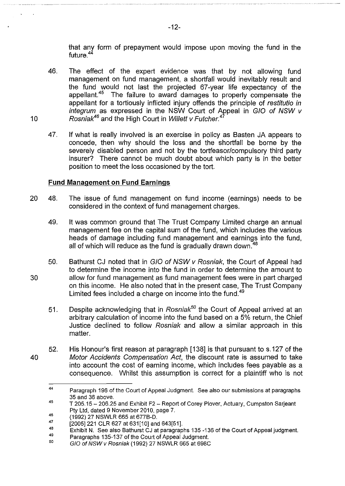that any form of prepayment would impose upon moving the fund in the future.<sup>44</sup>

- 46. The effect of the expert evidence was that by not allowing fund management on fund management, a shortfall would inevitably result and the fund would not last the projected 67-year life expectancy of the appellant.<sup>45</sup> The failure to award damages to properly compensate the appellant for a tortiously inflicted injury offends the principle of restitutio in integrum as expressed in the NSW Court of Appeal in G/0 of NSW v Rosniak*46* and the High Court in Willett v Futcher. *<sup>4</sup>*
- 47. If what is really involved is an exercise in policy as Basten JA appears to concede, then why should the loss and the shortfall be borne by the severely disabled person and not by the tortfeasor/compulsory third party insurer? There cannot be much doubt about which party is in the better position to meet the loss occasioned by the tort.

#### **Fund Management on Fund Earnings**

- 20 48. The issue of fund management on fund income (earnings) needs to be considered in the context of fund management charges.
	- 49. It was common ground that The Trust Company Limited charge an annual management fee on the capital sum of the fund, which includes the various heads of damage including fund management and earnings into the fund, all of which will reduce as the fund is gradually drawn down. $48$
- 50. Bathurst CJ noted that in G/0 of NSW v Rosniak, the Court of Appeal had to determine the income into the fund in order to determine the amount to 30 allow for fund management as fund management fees were in part charged on this income. He also noted that in the present case, The Trust Company Limited fees included a charge on income into the fund.<sup>49</sup>
	- 51. Despite acknowledging that in Rosniak<sup>50</sup> the Court of Appeal arrived at an arbitrary calculation of income into the fund based on a 5% return, the Chief Justice declined to follow Rosniak and allow a similar approach in this matter.
- 52. His Honour's first reason at paragraph [138] is that pursuant to s.127 of the 40 Motor Accidents Compensation Act, the discount rate is assumed to take into account the cost of earning income, which includes fees payable as a consequence. Whilst this assumption is correct for a plaintiff who is not

<sup>44</sup>  Paragraph 196 of the Court of Appeal Judgment. See also our submissions at paragraphs 35 and 36 above.

<sup>45</sup>  T 205.15- 206.25 and Exhibit F2- Report of Corey Plover, Actuary, Cumpston Sarjeant Pty Ltd, dated 9 November 2010, page 7.

<sup>46</sup>  (1992) 27 NSWLR 665 at 6778-D.

<sup>47</sup>  [2005]221 CLR 627 at 631[10] and 643[51].

<sup>48</sup>  Exhibit N. See also Bathurst CJ at paragraphs 135 -136 of the Court of Appeal judgment.

<sup>49</sup>  Paragraphs 135-137 of the Court of Appeal Judgment.

<sup>50</sup>  G/0 of NSW v Rosniak (1992) 27 NSWLR 665 at 698C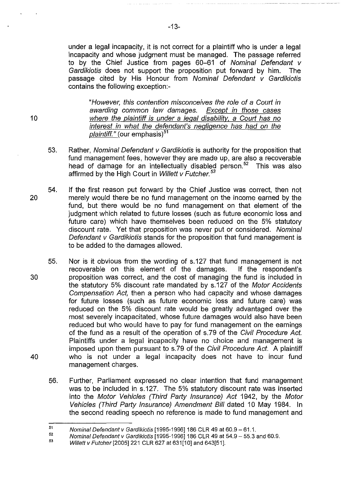under a legal incapacity, it is not correct for a plaintiff who is under a legal incapacity and whose judgment must be managed. The passage referred to by the Chief Justice from pages 60-61 of Nominal Defendant v Gardikiotis does not support the proposition put forward by him. The passage cited by His Honour from Nominal Defendant v Gardikiotis contains the following exception:-

"However, this contention misconceives the role of a Court in awarding common Jaw damages. Except in those cases 10 **10** where the plaintiff is under a legal disability, a Court has no interest in what the defendant's negligence has had on the plaintiff." (our emphasis)<sup>51</sup>

- 53. Rather, Nominal Defendant v Gardikiotis is authority for the proposition that fund management fees, however they are made up, are also a recoverable head of damage for an intellectually disabled person.<sup>52</sup> This was also affirmed by the High Court in Willett v Futcher. *<sup>53</sup>*
- 54. If the first reason put forward by the Chief Justice was correct, then not 20 merely would there be no fund management on the income earned by the fund, but there would be no fund management on that element of the judgment which related to future losses (such as future economic loss and future care) which have themselves been reduced on the 5% statutory discount rate. Yet that proposition was never put or considered. Nominal Defendant v Gardikiotis stands for the proposition that fund management is to be added to the damages allowed.
- 55. Nor is it obvious from the wording of s.127 that fund management is not recoverable on this element of the damages. If the respondent's 30 proposition was correct, and the cost of managing the fund is included in the statutory 5% discount rate mandated by s.127 of the Motor Accidents Compensation Act, then a person who had capacity and whose damages for future losses (such as future economic loss and future care) was reduced on the 5% discount rate would be greatly advantaged over the most severely incapacitated, whose future damages would also have been reduced but who would have to pay for fund management on the earnings of the fund as a result of the operation of s.79 of the Civil Procedure Act. Plaintiffs under a legal incapacity have no choice and management is imposed upon them pursuant to s.79 of the Civil Procedure Act. A plaintiff 40 who is not under a legal incapacity does not have to incur fund management charges.
	- 56. Further, Parliament expressed no clear intention that fund management was to be included in s.127. The 5% statutory discount rate was inserted into the Motor Vehicles (Third Party Insurance) Act 1942, by the Motor Vehicles (Third Party Insurance) Amendment Bill dated 10 May 1984. In the second reading speech no reference is made to fund management and

<sup>51</sup>  Nominal Defendant v Gardikiotis [1995-1996] 186 CLR 49 at 60.9 - 61.1.

<sup>52</sup>  Nominal Defendant *v* Gardikiotis [1995-1996]186 CLR 49 at 54.9-55.3 and 60.9.

<sup>53</sup>  Willett *v Futcher* [2005] 221 CLR 627 at 631[10] and 643[51].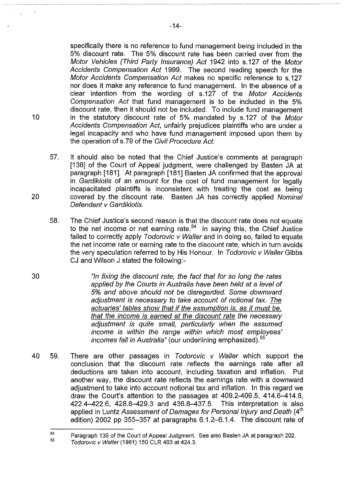specifically there is no reference to fund management being included in the 5% discount rate. The 5% discount rate has been carried over from the Motor Vehicles (Third Party Insurance) Act 1942 into s.127 of the Motor Accidents Compensation Act 1999. The second reading speech for the Motor Accidents Compensation Act makes no specific reference to s.127 nor does it make any reference to fund management. In the absence of a clear intention from the wording of s.127 of the Motor Accidents Compensation Act that fund management is to be included in the 5% discount rate, then it should not be included. To include fund management 10 in the statutory discount rate of 5% mandated by s.127 of the Motor Accidents Compensation Act, unfairly prejudices plaintiffs who are under a legal incapacity and who have fund management imposed upon them by the operation of s. 79 of the Civil Procedure Act.

- 57. It should also be noted that the Chief Justice's comments at paragraph [138] of the Court of Appeal judgment, were challenged by Basten JA at paragraph [181]. At paragraph [181] Basten JA confirmed that the approval in Gardikiotis of an amount for the cost of fund management for legally incapacitated plaintiffs is inconsistent with treating the cost as being 20 covered by the discount rate. Basten JA has correctly applied Nominal Defendant v Gardikiotis.
	- 58. The Chief Justice's second reason is that the discount rate does not equate to the net income or net earning rate.<sup>54</sup> In saying this, the Chief Justice failed to correctly apply Todorovic v Waller and in doing so, failed to equate the net income rate or earning rate to the discount rate, which in turn avoids the very speculation referred to by His Honour. In Todorovic v Waller Gibbs CJ and Wilson J stated the following:-
- 30 "In fixing the discount rate, the fact that for so long the rates applied by the Courts in Australia have been held at a level of 5% and above should not be disregarded. Some downward adjustment is necessary to take account of notional tax. The actuaries' tables show that if the assumption is, as it must be, that the income is earned at the discount rate the necessary adjustment is quite small, particularly when the assumed income is within the range within which most employees' incomes fall in Australia" (our underlining emphasized).<sup>55</sup>
- 40 59. There are other passages in Todorovic v Waller which support the conclusion that the discount rate reflects the earnings rate after all deductions are taken into account, including taxation and inflation. Put another way, the discount rate reflects the earnings rate with a downward adjustment to take into account notional tax and inflation. In this regard we draw the Court's attention to the passages at 409.2-409.5, 414.6-414.8, 422.4-422.6, 428.8-429.3 and 436.8-437.5. This interpretation is also applied in Luntz Assessment of Damages for Personal Injury and Death (4<sup>th</sup> edition) 2002 pp 355-357 at paragraphs 6.1.2-6.1.4. The discount rate of

<sup>54</sup>  <sup>54</sup> Paragraph 139 of the Court of Appeal Judgment. See also Basten JA at paragraph 202.

Todorovic v Waller (1981) 150 CLR 403 at 424.3.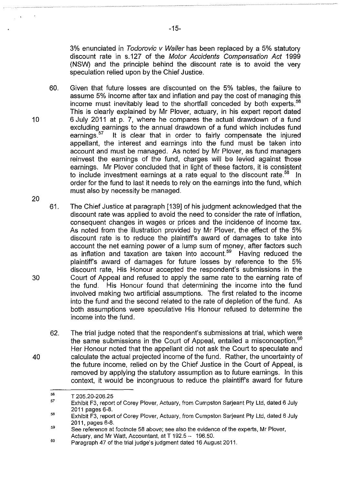3% enunciated in Todorovic v Waller has been replaced by a 5% statutory discount rate in s.127 of the Motor Accidents Compensation Act 1999 (NSW) and the principle behind the discount rate is to avoid the very speculation relied upon by the Chief Justice.

- 60. Given that future losses are discounted on the 5% tables, the failure to assume 5% income after tax and inflation and pay the cost of managing this income must inevitably lead to the shortfall conceded by both experts.<sup>56</sup> This is clearly explained by Mr Plover, actuary, in his expert report dated 10 6 July 2011 at p. 7, where he compares the actual drawdown of a fund excluding earnings to the annual drawdown of a fund which includes fund<br>earnings.<sup>57</sup> It is clear that in order to fairly compensate the injured It is clear that in order to fairly compensate the injured appellant, the interest and earnings into the fund must be taken into account and must be managed. As noted by Mr Plover, as fund managers reinvest the earnings of the fund, charges will be levied against those earnings. Mr Plover concluded that in light of these factors, it is consistent to include investment earnings at a rate equal to the discount rate.<sup>58</sup> In order for the fund to last it needs to rely on the earnings into the fund, which must also by necessity be managed.
- 61. The Chief Justice at paragraph [139] of his judgment acknowledged that the discount rate was applied to avoid the need to consider the rate of inflation, consequent changes in wages or prices and the incidence of income tax. As noted from the illustration provided by Mr Plover, the effect of the 5% discount rate is to reduce the plaintiff's award of damages to take into account the net earning power of a lump sum of money, after factors such as inflation and taxation are taken into account.<sup>59</sup> Having reduced the plaintiff's award of damages for future losses by reference to the 5% discount rate, His Honour accepted the respondent's submissions in the 30 Court of Appeal and refused to apply the same rate to the earning rate of the fund. His Honour found that determining the income into the fund involved making two artificial assumptions. The first related to the income into the fund and the second related to the rate of depletion of the fund. As both assumptions were speculative His Honour refused to determine the income into the fund.
- 62. The trial judge noted that the respondent's submissions at trial, which were the same submissions in the Court of Appeal, entailed a misconception.<sup>60</sup> Her Honour noted that the appellant did not ask the Court to speculate and 40 calculate the actual projected income of the fund. Rather, the uncertainty of the future income, relied on by the Chief Justice in the Court of Appeal, is removed by applying the statutory assumption as to future earnings. In this context, it would be incongruous to reduce the plaintiff's award for future

<sup>56</sup>  T 205.20-206.25

<sup>57</sup>  Exhibit F3, report of Corey Plover, Actuary, from Cumpston Sarjeant Pty Ltd, dated 6 July 2011 pages 6-8.

<sup>58</sup>  Exhibit F3, report of Corey Plover, Actuary, from Cumpston Sarjeant Pty Ltd, dated 6 July 2011, pages 6-8.

<sup>59</sup>  See reference at footnote 58 above; see also the evidence of the experts, Mr Plover, Actuary, and Mr Watt, Accountant, at T 192.5 - 196.50.

<sup>60</sup>  Paragraph 47 of the trial judge's judgment dated 16 August 2011.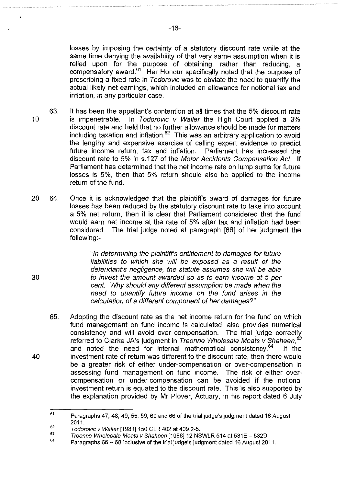losses by imposing the certainty of a statutory discount rate while at the same time denying the availability of that very same assumption when it is relied upon for the purpose of obtaining, rather than reducing, a compensatory award.<sup>61</sup> Her Honour specifically noted that the purpose of prescribing a fixed rate in Todorovic was to obviate the need to quantify the actual likely net earnings, which included an allowance for notional tax and inflation, in any particular case.

- 63. It has been the appellant's contention at all times that the 5% discount rate 10 is impenetrable. In Todorovic v Waller the High Court applied a 3% discount rate and held that no further allowance should be made for matters including taxation and inflation.<sup>62</sup> This was an arbitrary application to avoid the lengthy and expensive exercise of calling expert evidence to predict future income return, tax and inflation. Parliament has increased the discount rate to 5% in s.127 of the Motor Accidents Compensation Act. If Parliament has determined that the net income rate on lump sums for future losses is 5%, then that 5% return should also be applied to the income return of the fund.
- 20 64. Once it is acknowledged that the plaintiff's award of damages for future losses has been reduced by the statutory discount rate to take into account a 5% net return, then it is clear that Parliament considered that the fund would earn net income at the rate of 5% after tax and inflation had been considered. The trial judge noted at paragraph [66] of her judgment the following:-

"In determining the plaintiff's entitlement to damages for future liabilities to which she will be exposed as a result of the defendant's negligence, the statute assumes she will be able to invest the amount awarded so as to earn income at 5 per cent. Why should any different assumption be made when the need to quantify future income on the fund arises in the calculation of a different component of her damages?"

65. Adopting the discount rate as the net income return for the fund on which fund management on fund income is calculated, also provides numerical consistency and will avoid over compensation. The trial judge correctly referred to Clarke JA's judgment in Treonne Wholesale Meats v Shaheen, *<sup>3</sup>* and noted the need for internal mathematical consistency.<sup>64</sup> If the 40 investment rate of return was different to the discount rate, then there would be a greater risk of either under-compensation or over-compensation in assessing fund management on fund income. The risk of either overcompensation or under-compensation can be avoided if the notional investment return is equated to the discount rate. This is also supported by the explanation provided by Mr Plover, Actuary, in his report dated 6 July

<sup>61</sup>  Paragraphs 47, 48, 49, 55, 59, 60 and 66 of the trial judge's judgment dated 16 August 2011.

<sup>62</sup>  Todorovic v Waller [1981] 150 CLR 402 at 409.2-5.

<sup>63</sup>  Treonne Wholesale Meats v Shaheen [1988] 12 NSWLR 514 at 531E - 532D.

<sup>64</sup>  Paragraphs 66 - 68 inclusive of the trial judge's judgment dated 16 August 2011.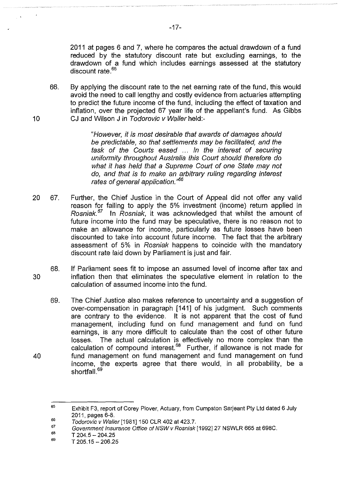2011 at pages 6 and 7, where he compares the actual drawdown of a fund reduced by the statutory discount rate but excluding earnings, to the drawdown of a fund which includes earnings assessed at the statutory discount rate.<sup>65</sup>

66. By applying the discount rate to the net earning rate of the fund, this would avoid the need to call lengthy and costly evidence from actuaries attempting to predict the future income of the fund, including the effect of taxation and inflation, over the projected 67 year life of the appellant's fund. As Gibbs 10 CJ and Wilson J in Todorovic v Waller held:-

> "However, it is most desirable that awards of damages should be predictable, so that settlements may be facilitated, and the task of the Courts eased ... In the interest of securing uniformity throughout Australia this Court should therefore do what it has held that a Supreme Court of one State may not do, and that is to make an arbitrary ruling regarding interest rates of general application."<sup>66</sup>

- 20 67. Further, the Chief Justice in the Court of Appeal did not offer any valid reason for failing to apply the 5% investment (income) return applied in Rosniak.<sup>67</sup> In Rosniak, it was acknowledged that whilst the amount of future income into the fund may be speculative, there is no reason not to make an allowance for income, particularly as future losses have been discounted to take into account future income. The fact that the arbitrary assessment of 5% in Rosniak happens to coincide with the mandatory discount rate laid down by Parliament is just and fair.
- 68. If Parliament sees fit to impose an assumed level of income after tax and 30 inflation then that eliminates the speculative element in relation to the calculation of assumed income into the fund.
- 69. The Chief Justice also makes reference to uncertainty and a suggestion of over-compensation in paragraph [141] of his judgment. Such comments are contrary to the evidence. It is not apparent that the cost of fund management, including fund on fund management and fund on fund earnings, is any more difficult to calculate than the cost of other future losses. The actual calculation is effectively no more complex than the calculation of compound interest.<sup>68</sup> Further, if allowance is not made for 40 fund management on fund management and fund management on fund income, the experts agree that there would, in all probability, be a shortfall.<sup>69</sup>

<sup>65</sup>  Exhibit F3, report of Corey Plover, Actuary, from Cumpston Sarjeant Ply Ltd dated 6 July 2011, pages 6-8.

<sup>66</sup>  Todorovic v Waller [1981] 150 CLR 402 at 423.7.

<sup>67</sup>  Government Insurance Office of NSW v Rosniak [1992]27 NSWLR 665 at 698C.

<sup>68</sup>  T 204.5-204.25

<sup>69</sup>  T 205.15- 206.25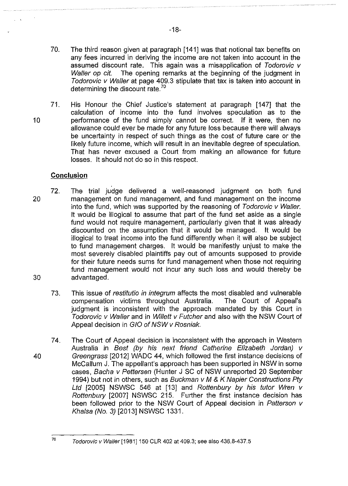- 70. The third reason given at paragraph [141] was that notional tax benefits on any fees incurred in deriving the income are not taken into account in the assumed discount rate. This again was a misapplication of Todorovic v Waller op cit. The opening remarks at the beginning of the judgment in Todorovic v Waller at page 409.3 stipulate that tax is taken into account in determining the discount rate.<sup>70</sup>
- 71. His Honour the Chief Justice's statement at paragraph [147] that the calculation of income into the fund involves speculation as to the 10 performance of the fund simply cannot be correct. If it were, then no allowance could ever be made for any future loss because there will always be uncertainty in respect of such things as the cost of future care or the likely future income, which will result in an inevitable degree of speculation. That has never excused a Court from making an allowance for future losses. It should not do so in this respect.

# **Conclusion**

- 72. The trial judge delivered a well-reasoned judgment on both fund 20 management on fund management, and fund management on the income into the fund, which was supported by the reasoning of Todorovic v Waller. It would be illogical to assume that part of the fund set aside as a single fund would not require management, particularly given that it was already discounted on the assumption that it would be managed. It would be illogical to treat income into the fund differently when it will also be subject to fund management charges. It would be manifestly unjust to make the most severely disabled plaintiffs pay out of amounts supposed to provide for their future needs sums for fund management when those not requiring fund management would not incur any such loss and would thereby be 30 advantaged.
	- 73. This issue of restitutio in integrum affects the most disabled and vulnerable compensation victims throughout Australia. The Court of Appeal's judgment is inconsistent with the approach mandated by this Court in Todorovic v Waller and in Willett v Futcher and also with the NSW Court of Appeal decision in GIO of NSW v Rosniak.
- 74. The Court of Appeal decision is inconsistent with the approach in Western Australia in Best (by his next friend Catherine Elizabeth Jordan) v 40 Greengrass [2012] WADC 44, which followed the first instance decisions of McCallum J. The appellant's approach has been supported in NSW in some cases, Bacha v Pettersen (Hunter J SC of NSW unreported 20 September 1994) but not in others, such as Buckman v M & K Napier Constructions Pty Ltd [2005] NSWSC 546 at [13] and Rottenbury by his tutor Wren v Rottenbury [2007] NSWSC 215. Further the first instance decision has been followed prior to the NSW Court of Appeal decision in Patterson v Khalsa (No.3) [2013] NSWSC 1331.

 $70$  Todorovic v Waller [1981] 150 CLR 402 at 409.3; see also 436.8-437.5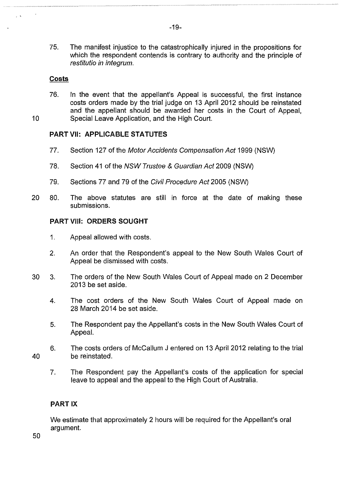75. The manifest injustice to the catastrophically injured in the propositions for which the respondent contends is contrary to authority and the principle of restitutio in integrum.

#### **Costs**

76. In the event that the appellant's Appeal is successful, the first instance costs orders made by the trial judge on 13 April 2012 should be reinstated and the appellant should be awarded her costs in the Court of Appeal, 10 Special Leave Application, and the High Court.

# **PART VII: APPLICABLE STATUTES**

- 77. Section 127 of the Motor Accidents Compensation Act 1999 (NSW)
- 78. Section 41 of the NSW Trustee & Guardian Act 2009 (NSW)
- 79. Sections 77 and 79 of the Civil Procedure Act 2005 (NSW)
- 20 80. The above statutes are still in force at the date of making these submissions.

### **PART** VIII: **ORDERS SOUGHT**

- 1. Appeal allowed with costs.
- 2. An order that the Respondent's appeal to the New South Wales Court of Appeal be dismissed with costs.
- 30 3. The orders of the New South Wales Court of Appeal made on 2 December 2013 be set aside.
	- 4. The cost orders of the New South Wales Court of Appeal made on 28 March 2014 be set aside.
	- 5. The Respondent pay the Appellant's costs in the New South Wales Court of Appeal.
- 40 6. The costs orders of McCallum J entered on 13 April 2012 relating to the trial be reinstated.
	- 7. The Respondent pay the Appellant's costs of the application for special leave to appeal and the appeal to the High Court of Australia.

# **PART IX**

We estimate that approximately 2 hours will be required for the Appellant's oral argument.